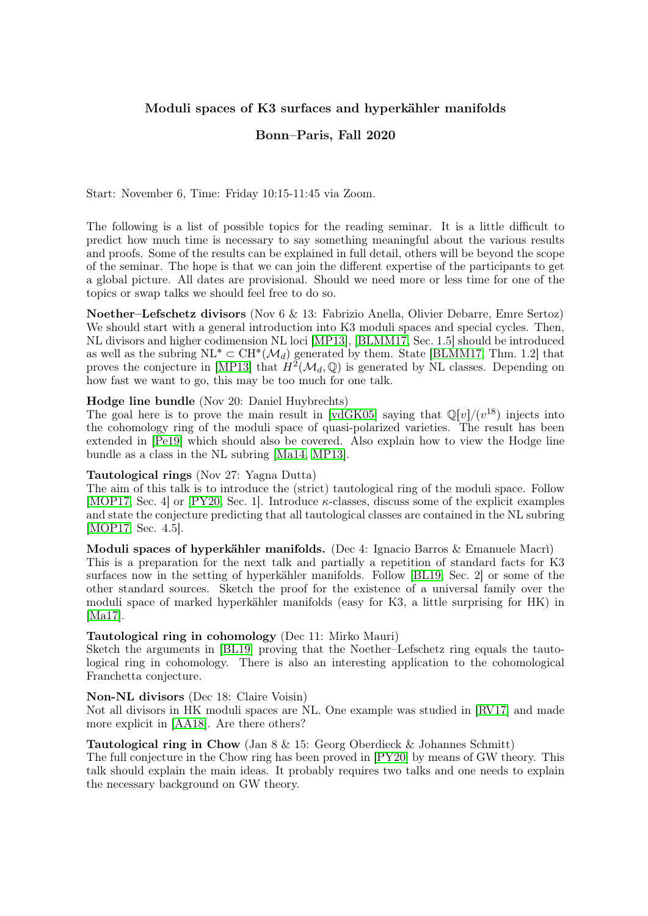# Moduli spaces of K3 surfaces and hyperkähler manifolds

## Bonn–Paris, Fall 2020

Start: November 6, Time: Friday 10:15-11:45 via Zoom.

The following is a list of possible topics for the reading seminar. It is a little difficult to predict how much time is necessary to say something meaningful about the various results and proofs. Some of the results can be explained in full detail, others will be beyond the scope of the seminar. The hope is that we can join the different expertise of the participants to get a global picture. All dates are provisional. Should we need more or less time for one of the topics or swap talks we should feel free to do so.

Noether–Lefschetz divisors (Nov 6 & 13: Fabrizio Anella, Olivier Debarre, Emre Sertoz) We should start with a general introduction into K3 moduli spaces and special cycles. Then, NL divisors and higher codimension NL loci [\[MP13\]](#page-1-0), [\[BLMM17,](#page-1-1) Sec. 1.5] should be introduced as well as the subring  $\text{NL}^* \subset \text{CH}^*(\mathcal{M}_d)$  generated by them. State [\[BLMM17,](#page-1-1) Thm. 1.2] that proves the conjecture in [\[MP13\]](#page-1-0) that  $H^2(\mathcal{M}_d, \mathbb{Q})$  is generated by NL classes. Depending on how fast we want to go, this may be too much for one talk.

## Hodge line bundle (Nov 20: Daniel Huybrechts)

The goal here is to prove the main result in [\[vdGK05\]](#page-1-2) saying that  $\mathbb{Q}[v]/(v^{18})$  injects into the cohomology ring of the moduli space of quasi-polarized varieties. The result has been extended in [\[Pe19\]](#page-1-3) which should also be covered. Also explain how to view the Hodge line bundle as a class in the NL subring [\[Ma14,](#page-1-4) [MP13\]](#page-1-0).

#### Tautological rings (Nov 27: Yagna Dutta)

The aim of this talk is to introduce the (strict) tautological ring of the moduli space. Follow [\[MOP17,](#page-1-5) Sec. 4] or [\[PY20,](#page-1-6) Sec. 1]. Introduce κ-classes, discuss some of the explicit examples and state the conjecture predicting that all tautological classes are contained in the NL subring [\[MOP17,](#page-1-5) Sec. 4.5].

Moduli spaces of hyperkähler manifolds. (Dec 4: Ignacio Barros & Emanuele Macrì) This is a preparation for the next talk and partially a repetition of standard facts for K3 surfaces now in the setting of hyperkähler manifolds. Follow [\[BL19,](#page-1-7) Sec. 2] or some of the other standard sources. Sketch the proof for the existence of a universal family over the moduli space of marked hyperkähler manifolds (easy for K3, a little surprising for HK) in [\[Ma17\]](#page-1-8).

## Tautological ring in cohomology (Dec 11: Mirko Mauri)

Sketch the arguments in [\[BL19\]](#page-1-7) proving that the Noether–Lefschetz ring equals the tautological ring in cohomology. There is also an interesting application to the cohomological Franchetta conjecture.

#### Non-NL divisors (Dec 18: Claire Voisin)

Not all divisors in HK moduli spaces are NL. One example was studied in [\[RV17\]](#page-1-9) and made more explicit in [\[AA18\]](#page-1-10). Are there others?

## **Tautological ring in Chow** (Jan  $8 \& 15$ : Georg Oberdieck  $\&$  Johannes Schmitt)

The full conjecture in the Chow ring has been proved in [\[PY20\]](#page-1-6) by means of GW theory. This talk should explain the main ideas. It probably requires two talks and one needs to explain the necessary background on GW theory.